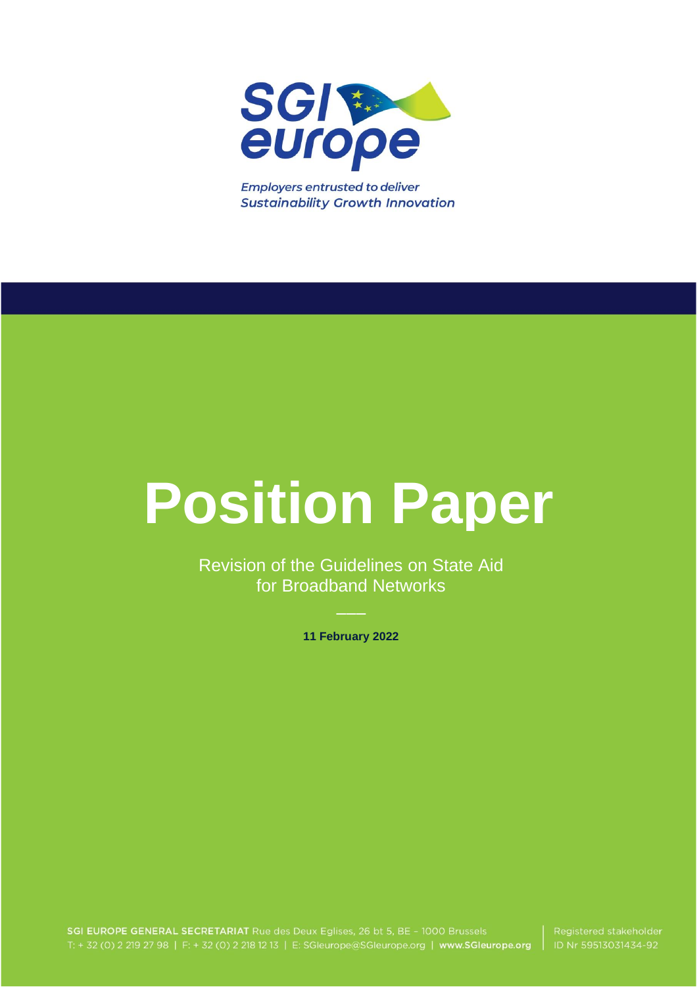

**Employers entrusted to deliver Sustainability Growth Innovation** 

# **Position Paper**

**Revision of the Guidelines on State Aid** for Broadband Networks

11 February 2022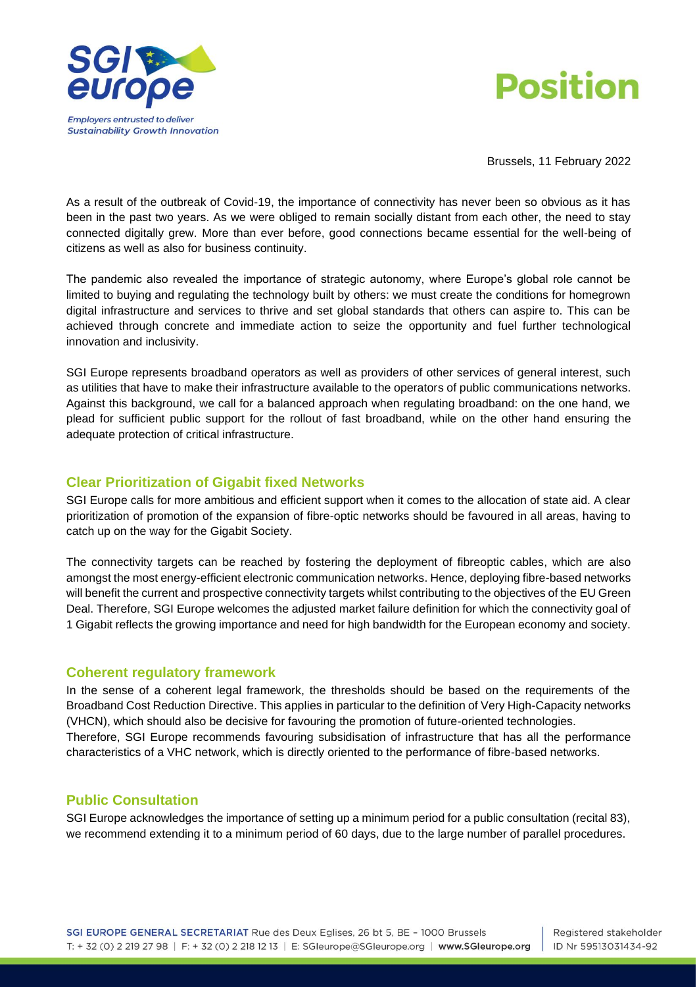



Brussels, 11 February 2022

As a result of the outbreak of Covid-19, the importance of connectivity has never been so obvious as it has been in the past two years. As we were obliged to remain socially distant from each other, the need to stay connected digitally grew. More than ever before, good connections became essential for the well-being of citizens as well as also for business continuity.

The pandemic also revealed the importance of strategic autonomy, where Europe's global role cannot be limited to buying and regulating the technology built by others: we must create the conditions for homegrown digital infrastructure and services to thrive and set global standards that others can aspire to. This can be achieved through concrete and immediate action to seize the opportunity and fuel further technological innovation and inclusivity.

SGI Europe represents broadband operators as well as providers of other services of general interest, such as utilities that have to make their infrastructure available to the operators of public communications networks. Against this background, we call for a balanced approach when regulating broadband: on the one hand, we plead for sufficient public support for the rollout of fast broadband, while on the other hand ensuring the adequate protection of critical infrastructure.

#### **Clear Prioritization of Gigabit fixed Networks**

SGI Europe calls for more ambitious and efficient support when it comes to the allocation of state aid. A clear prioritization of promotion of the expansion of fibre-optic networks should be favoured in all areas, having to catch up on the way for the Gigabit Society.

The connectivity targets can be reached by fostering the deployment of fibreoptic cables, which are also amongst the most energy-efficient electronic communication networks. Hence, deploying fibre-based networks will benefit the current and prospective connectivity targets whilst contributing to the objectives of the EU Green Deal. Therefore, SGI Europe welcomes the adjusted market failure definition for which the connectivity goal of 1 Gigabit reflects the growing importance and need for high bandwidth for the European economy and society.

#### **Coherent regulatory framework**

In the sense of a coherent legal framework, the thresholds should be based on the requirements of the Broadband Cost Reduction Directive. This applies in particular to the definition of Very High-Capacity networks (VHCN), which should also be decisive for favouring the promotion of future-oriented technologies. Therefore, SGI Europe recommends favouring subsidisation of infrastructure that has all the performance characteristics of a VHC network, which is directly oriented to the performance of fibre-based networks.

#### **Public Consultation**

SGI Europe acknowledges the importance of setting up a minimum period for a public consultation (recital 83), we recommend extending it to a minimum period of 60 days, due to the large number of parallel procedures.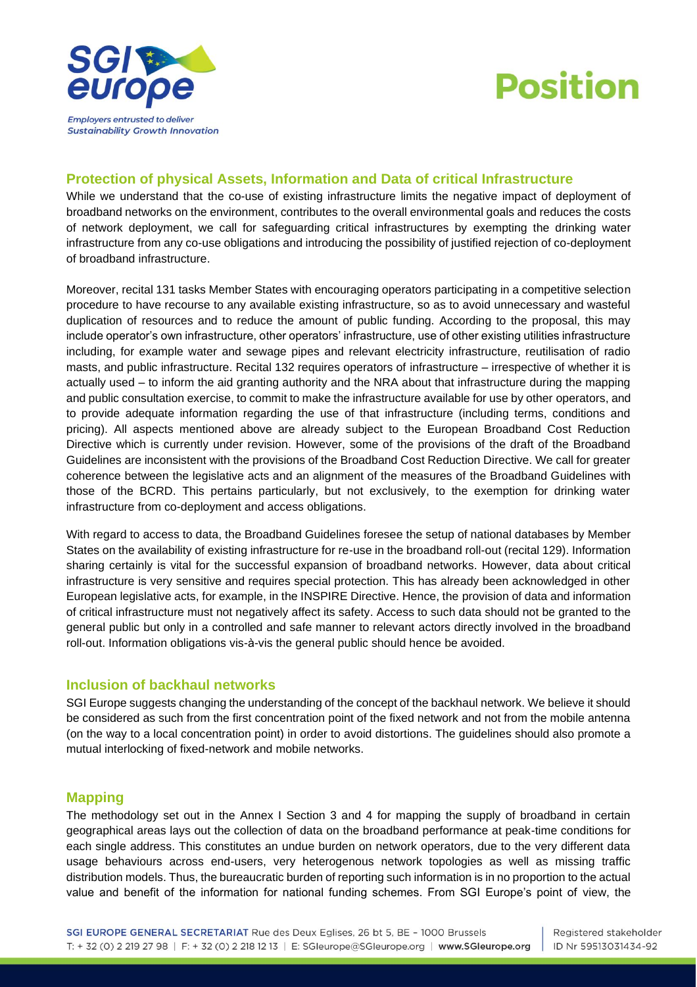



# **Protection of physical Assets, Information and Data of critical Infrastructure**

While we understand that the co-use of existing infrastructure limits the negative impact of deployment of broadband networks on the environment, contributes to the overall environmental goals and reduces the costs of network deployment, we call for safeguarding critical infrastructures by exempting the drinking water infrastructure from any co-use obligations and introducing the possibility of justified rejection of co-deployment of broadband infrastructure.

Moreover, recital 131 tasks Member States with encouraging operators participating in a competitive selection procedure to have recourse to any available existing infrastructure, so as to avoid unnecessary and wasteful duplication of resources and to reduce the amount of public funding. According to the proposal, this may include operator's own infrastructure, other operators' infrastructure, use of other existing utilities infrastructure including, for example water and sewage pipes and relevant electricity infrastructure, reutilisation of radio masts, and public infrastructure. Recital 132 requires operators of infrastructure – irrespective of whether it is actually used – to inform the aid granting authority and the NRA about that infrastructure during the mapping and public consultation exercise, to commit to make the infrastructure available for use by other operators, and to provide adequate information regarding the use of that infrastructure (including terms, conditions and pricing). All aspects mentioned above are already subject to the European Broadband Cost Reduction Directive which is currently under revision. However, some of the provisions of the draft of the Broadband Guidelines are inconsistent with the provisions of the Broadband Cost Reduction Directive. We call for greater coherence between the legislative acts and an alignment of the measures of the Broadband Guidelines with those of the BCRD. This pertains particularly, but not exclusively, to the exemption for drinking water infrastructure from co-deployment and access obligations.

With regard to access to data, the Broadband Guidelines foresee the setup of national databases by Member States on the availability of existing infrastructure for re-use in the broadband roll-out (recital 129). Information sharing certainly is vital for the successful expansion of broadband networks. However, data about critical infrastructure is very sensitive and requires special protection. This has already been acknowledged in other European legislative acts, for example, in the INSPIRE Directive. Hence, the provision of data and information of critical infrastructure must not negatively affect its safety. Access to such data should not be granted to the general public but only in a controlled and safe manner to relevant actors directly involved in the broadband roll-out. Information obligations vis-à-vis the general public should hence be avoided.

#### **Inclusion of backhaul networks**

SGI Europe suggests changing the understanding of the concept of the backhaul network. We believe it should be considered as such from the first concentration point of the fixed network and not from the mobile antenna (on the way to a local concentration point) in order to avoid distortions. The guidelines should also promote a mutual interlocking of fixed-network and mobile networks.

## **Mapping**

The methodology set out in the Annex I Section 3 and 4 for mapping the supply of broadband in certain geographical areas lays out the collection of data on the broadband performance at peak-time conditions for each single address. This constitutes an undue burden on network operators, due to the very different data usage behaviours across end-users, very heterogenous network topologies as well as missing traffic distribution models. Thus, the bureaucratic burden of reporting such information is in no proportion to the actual value and benefit of the information for national funding schemes. From SGI Europe's point of view, the